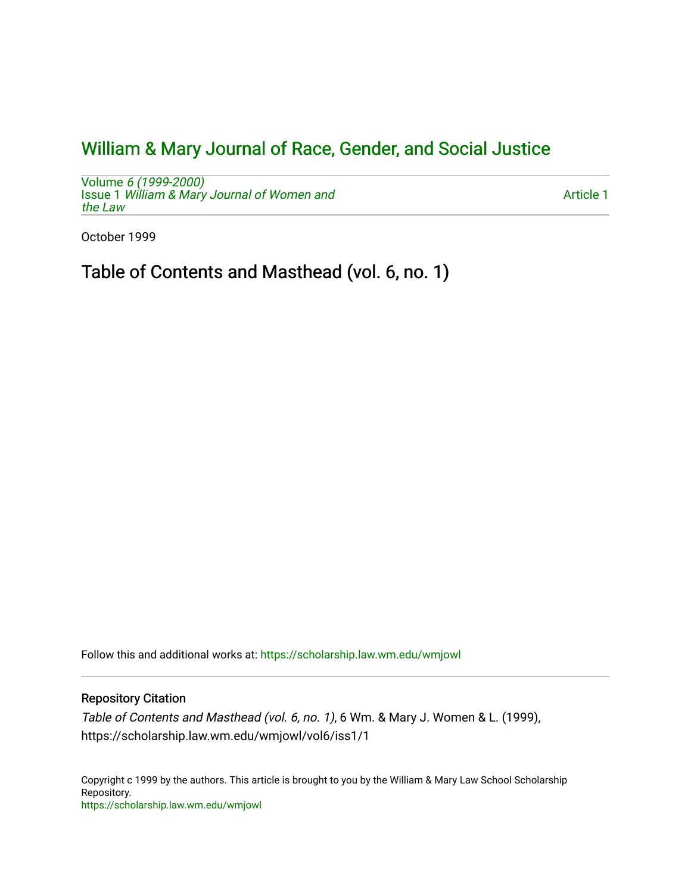## [William & Mary Journal of Race, Gender, and Social Justice](https://scholarship.law.wm.edu/wmjowl)

Volume [6 \(1999-2000\)](https://scholarship.law.wm.edu/wmjowl/vol6)  Issue 1 [William & Mary Journal of Women and](https://scholarship.law.wm.edu/wmjowl/vol6/iss1) [the Law](https://scholarship.law.wm.edu/wmjowl/vol6/iss1)

[Article 1](https://scholarship.law.wm.edu/wmjowl/vol6/iss1/1) 

October 1999

Table of Contents and Masthead (vol. 6, no. 1)

Follow this and additional works at: [https://scholarship.law.wm.edu/wmjowl](https://scholarship.law.wm.edu/wmjowl?utm_source=scholarship.law.wm.edu%2Fwmjowl%2Fvol6%2Fiss1%2F1&utm_medium=PDF&utm_campaign=PDFCoverPages) 

## Repository Citation

Table of Contents and Masthead (vol. 6, no. 1), 6 Wm. & Mary J. Women & L. (1999), https://scholarship.law.wm.edu/wmjowl/vol6/iss1/1

Copyright c 1999 by the authors. This article is brought to you by the William & Mary Law School Scholarship Repository. <https://scholarship.law.wm.edu/wmjowl>